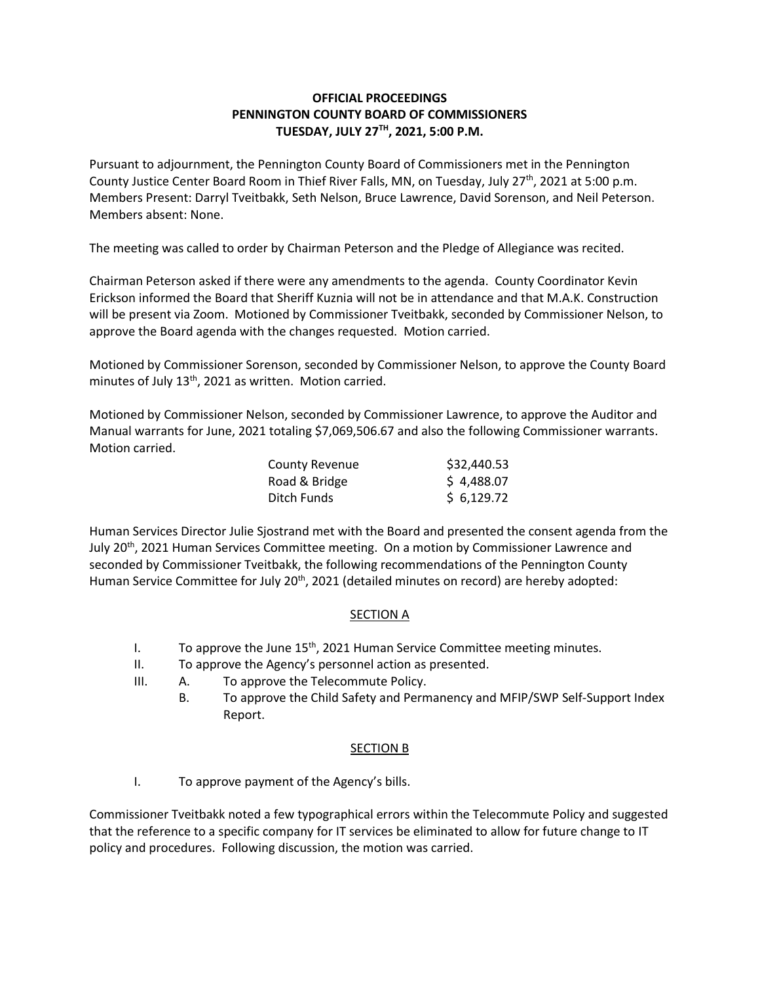# **OFFICIAL PROCEEDINGS PENNINGTON COUNTY BOARD OF COMMISSIONERS TUESDAY, JULY 27TH , 2021, 5:00 P.M.**

Pursuant to adjournment, the Pennington County Board of Commissioners met in the Pennington County Justice Center Board Room in Thief River Falls, MN, on Tuesday, July 27<sup>th</sup>, 2021 at 5:00 p.m. Members Present: Darryl Tveitbakk, Seth Nelson, Bruce Lawrence, David Sorenson, and Neil Peterson. Members absent: None.

The meeting was called to order by Chairman Peterson and the Pledge of Allegiance was recited.

Chairman Peterson asked if there were any amendments to the agenda. County Coordinator Kevin Erickson informed the Board that Sheriff Kuznia will not be in attendance and that M.A.K. Construction will be present via Zoom. Motioned by Commissioner Tveitbakk, seconded by Commissioner Nelson, to approve the Board agenda with the changes requested. Motion carried.

Motioned by Commissioner Sorenson, seconded by Commissioner Nelson, to approve the County Board minutes of July  $13<sup>th</sup>$ , 2021 as written. Motion carried.

Motioned by Commissioner Nelson, seconded by Commissioner Lawrence, to approve the Auditor and Manual warrants for June, 2021 totaling \$7,069,506.67 and also the following Commissioner warrants. Motion carried.

| <b>County Revenue</b> | \$32,440.53 |
|-----------------------|-------------|
| Road & Bridge         | \$4,488.07  |
| Ditch Funds           | \$6,129.72  |

Human Services Director Julie Sjostrand met with the Board and presented the consent agenda from the July 20<sup>th</sup>, 2021 Human Services Committee meeting. On a motion by Commissioner Lawrence and seconded by Commissioner Tveitbakk, the following recommendations of the Pennington County Human Service Committee for July 20<sup>th</sup>, 2021 (detailed minutes on record) are hereby adopted:

# **SECTION A**

- I. To approve the June  $15<sup>th</sup>$ , 2021 Human Service Committee meeting minutes.
- II. To approve the Agency's personnel action as presented.
- III. A. To approve the Telecommute Policy.
	- B. To approve the Child Safety and Permanency and MFIP/SWP Self-Support Index Report.

### SECTION B

I. To approve payment of the Agency's bills.

Commissioner Tveitbakk noted a few typographical errors within the Telecommute Policy and suggested that the reference to a specific company for IT services be eliminated to allow for future change to IT policy and procedures. Following discussion, the motion was carried.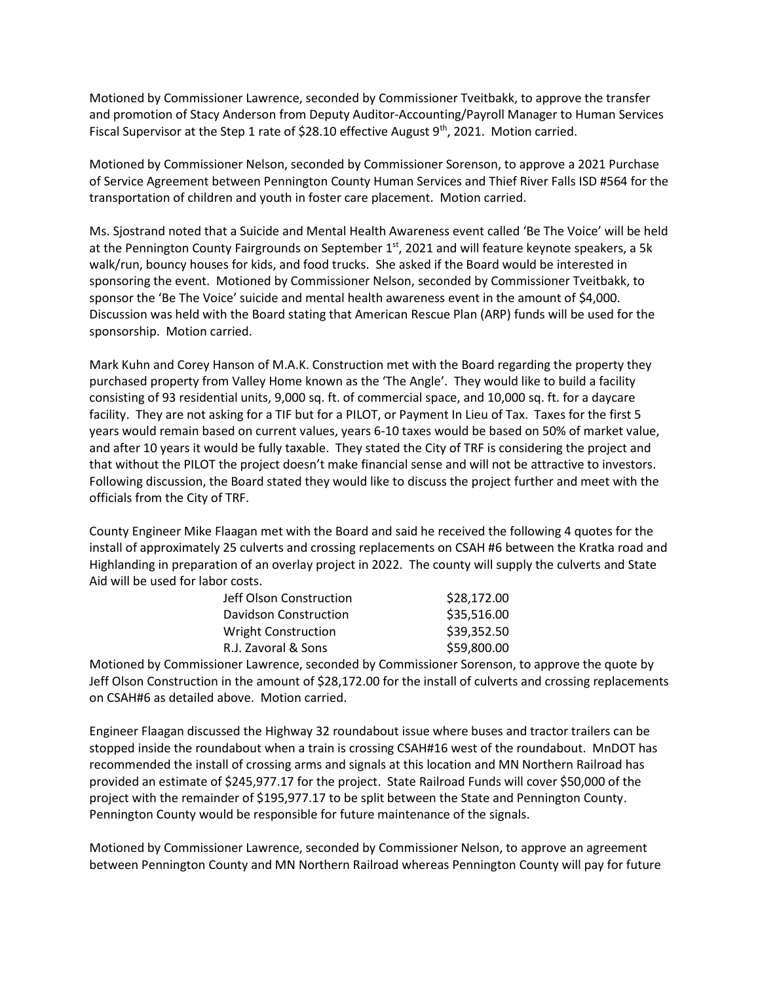Motioned by Commissioner Lawrence, seconded by Commissioner Tveitbakk, to approve the transfer and promotion of Stacy Anderson from Deputy Auditor-Accounting/Payroll Manager to Human Services Fiscal Supervisor at the Step 1 rate of \$28.10 effective August 9<sup>th</sup>, 2021. Motion carried.

Motioned by Commissioner Nelson, seconded by Commissioner Sorenson, to approve a 2021 Purchase of Service Agreement between Pennington County Human Services and Thief River Falls ISD #564 for the transportation of children and youth in foster care placement. Motion carried.

Ms. Sjostrand noted that a Suicide and Mental Health Awareness event called 'Be The Voice' will be held at the Pennington County Fairgrounds on September  $1<sup>st</sup>$ , 2021 and will feature keynote speakers, a 5k walk/run, bouncy houses for kids, and food trucks. She asked if the Board would be interested in sponsoring the event. Motioned by Commissioner Nelson, seconded by Commissioner Tveitbakk, to sponsor the 'Be The Voice' suicide and mental health awareness event in the amount of \$4,000. Discussion was held with the Board stating that American Rescue Plan (ARP) funds will be used for the sponsorship. Motion carried.

Mark Kuhn and Corey Hanson of M.A.K. Construction met with the Board regarding the property they purchased property from Valley Home known as the 'The Angle'. They would like to build a facility consisting of 93 residential units, 9,000 sq. ft. of commercial space, and 10,000 sq. ft. for a daycare facility. They are not asking for a TIF but for a PILOT, or Payment In Lieu of Tax. Taxes for the first 5 years would remain based on current values, years 6-10 taxes would be based on 50% of market value, and after 10 years it would be fully taxable. They stated the City of TRF is considering the project and that without the PILOT the project doesn't make financial sense and will not be attractive to investors. Following discussion, the Board stated they would like to discuss the project further and meet with the officials from the City of TRF.

County Engineer Mike Flaagan met with the Board and said he received the following 4 quotes for the install of approximately 25 culverts and crossing replacements on CSAH #6 between the Kratka road and Highlanding in preparation of an overlay project in 2022. The county will supply the culverts and State Aid will be used for labor costs.

| \$28,172.00 |
|-------------|
| \$35,516.00 |
| \$39,352.50 |
| \$59,800.00 |
|             |

Motioned by Commissioner Lawrence, seconded by Commissioner Sorenson, to approve the quote by Jeff Olson Construction in the amount of \$28,172.00 for the install of culverts and crossing replacements on CSAH#6 as detailed above. Motion carried.

Engineer Flaagan discussed the Highway 32 roundabout issue where buses and tractor trailers can be stopped inside the roundabout when a train is crossing CSAH#16 west of the roundabout. MnDOT has recommended the install of crossing arms and signals at this location and MN Northern Railroad has provided an estimate of \$245,977.17 for the project. State Railroad Funds will cover \$50,000 of the project with the remainder of \$195,977.17 to be split between the State and Pennington County. Pennington County would be responsible for future maintenance of the signals.

Motioned by Commissioner Lawrence, seconded by Commissioner Nelson, to approve an agreement between Pennington County and MN Northern Railroad whereas Pennington County will pay for future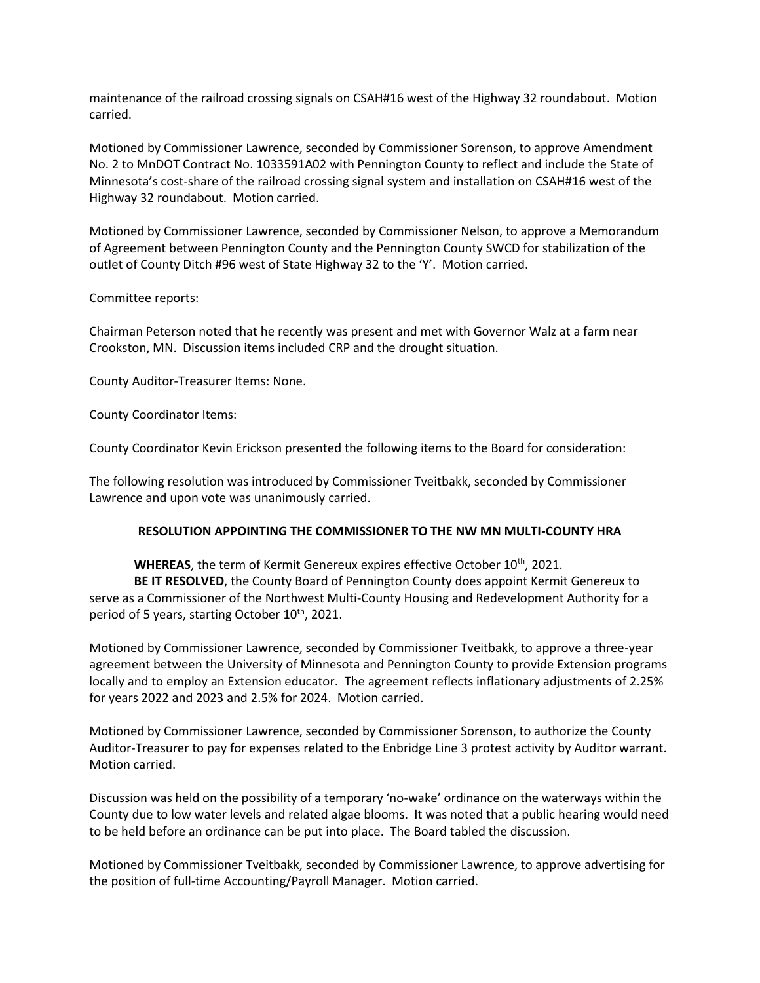maintenance of the railroad crossing signals on CSAH#16 west of the Highway 32 roundabout. Motion carried.

Motioned by Commissioner Lawrence, seconded by Commissioner Sorenson, to approve Amendment No. 2 to MnDOT Contract No. 1033591A02 with Pennington County to reflect and include the State of Minnesota's cost-share of the railroad crossing signal system and installation on CSAH#16 west of the Highway 32 roundabout. Motion carried.

Motioned by Commissioner Lawrence, seconded by Commissioner Nelson, to approve a Memorandum of Agreement between Pennington County and the Pennington County SWCD for stabilization of the outlet of County Ditch #96 west of State Highway 32 to the 'Y'. Motion carried.

### Committee reports:

Chairman Peterson noted that he recently was present and met with Governor Walz at a farm near Crookston, MN. Discussion items included CRP and the drought situation.

County Auditor-Treasurer Items: None.

County Coordinator Items:

County Coordinator Kevin Erickson presented the following items to the Board for consideration:

The following resolution was introduced by Commissioner Tveitbakk, seconded by Commissioner Lawrence and upon vote was unanimously carried.

### **RESOLUTION APPOINTING THE COMMISSIONER TO THE NW MN MULTI-COUNTY HRA**

WHEREAS, the term of Kermit Genereux expires effective October 10<sup>th</sup>, 2021.

**BE IT RESOLVED**, the County Board of Pennington County does appoint Kermit Genereux to serve as a Commissioner of the Northwest Multi-County Housing and Redevelopment Authority for a period of 5 years, starting October 10<sup>th</sup>, 2021.

Motioned by Commissioner Lawrence, seconded by Commissioner Tveitbakk, to approve a three-year agreement between the University of Minnesota and Pennington County to provide Extension programs locally and to employ an Extension educator. The agreement reflects inflationary adjustments of 2.25% for years 2022 and 2023 and 2.5% for 2024. Motion carried.

Motioned by Commissioner Lawrence, seconded by Commissioner Sorenson, to authorize the County Auditor-Treasurer to pay for expenses related to the Enbridge Line 3 protest activity by Auditor warrant. Motion carried.

Discussion was held on the possibility of a temporary 'no-wake' ordinance on the waterways within the County due to low water levels and related algae blooms. It was noted that a public hearing would need to be held before an ordinance can be put into place. The Board tabled the discussion.

Motioned by Commissioner Tveitbakk, seconded by Commissioner Lawrence, to approve advertising for the position of full-time Accounting/Payroll Manager. Motion carried.